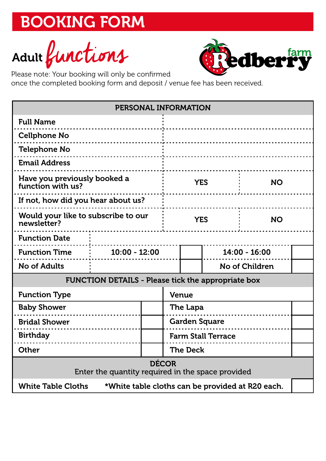Adult functions



Please note: Your booking will only be confirmed

once the completed booking form and deposit / venue fee has been received.

| PERSONAL INFORMATION                                                          |                 |  |                           |                 |                |           |  |
|-------------------------------------------------------------------------------|-----------------|--|---------------------------|-----------------|----------------|-----------|--|
| <b>Full Name</b>                                                              |                 |  |                           |                 |                |           |  |
| <b>Cellphone No</b><br>.                                                      |                 |  |                           |                 |                |           |  |
| <b>Telephone No</b>                                                           |                 |  |                           |                 |                |           |  |
| <b>Email Address</b>                                                          |                 |  |                           |                 |                |           |  |
| Have you previously booked a<br>function with us?                             |                 |  | <b>YES</b>                |                 | <b>NO</b>      |           |  |
| If not, how did you hear about us?                                            |                 |  |                           |                 |                |           |  |
| Would your like to subscribe to our<br>newsletter?                            |                 |  | <b>YES</b>                |                 |                | <b>NO</b> |  |
| <b>Function Date</b>                                                          |                 |  |                           |                 |                |           |  |
| <b>Function Time</b>                                                          | $10:00 - 12:00$ |  |                           | $14:00 - 16:00$ |                |           |  |
| <b>No of Adults</b>                                                           |                 |  |                           |                 | No of Children |           |  |
| <b>FUNCTION DETAILS - Please tick the appropriate box</b>                     |                 |  |                           |                 |                |           |  |
| <b>Function Type</b>                                                          |                 |  | <b>Venue</b>              |                 |                |           |  |
| <b>Baby Shower</b>                                                            |                 |  | The Lapa                  |                 |                |           |  |
| <b>Bridal Shower</b>                                                          |                 |  | <b>Garden Square</b>      |                 |                |           |  |
| <b>Birthday</b>                                                               |                 |  | <b>Farm Stall Terrace</b> |                 |                |           |  |
| Other                                                                         |                 |  | <b>The Deck</b>           |                 |                |           |  |
| <b>DÉCOR</b><br>Enter the quantity required in the space provided             |                 |  |                           |                 |                |           |  |
| <b>White Table Cloths</b><br>*White table cloths can be provided at R20 each. |                 |  |                           |                 |                |           |  |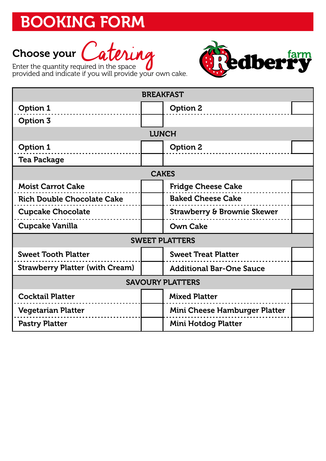

Enter the quantity required in the space<br>provided and indicate if you will provide your own cake.



| <b>BREAKFAST</b>                       |                                        |  |  |  |  |  |  |
|----------------------------------------|----------------------------------------|--|--|--|--|--|--|
| Option 1                               | <b>Option 2</b>                        |  |  |  |  |  |  |
| <b>Option 3</b>                        |                                        |  |  |  |  |  |  |
| <b>LUNCH</b>                           |                                        |  |  |  |  |  |  |
| Option 1                               | <b>Option 2</b>                        |  |  |  |  |  |  |
| <b>Tea Package</b>                     |                                        |  |  |  |  |  |  |
| <b>CAKES</b>                           |                                        |  |  |  |  |  |  |
| <b>Moist Carrot Cake</b>               | <b>Fridge Cheese Cake</b>              |  |  |  |  |  |  |
| <b>Rich Double Chocolate Cake</b>      | <b>Baked Cheese Cake</b>               |  |  |  |  |  |  |
| <b>Cupcake Chocolate</b>               | <b>Strawberry &amp; Brownie Skewer</b> |  |  |  |  |  |  |
| <b>Cupcake Vanilla</b>                 | <b>Own Cake</b>                        |  |  |  |  |  |  |
| <b>SWEET PLATTERS</b>                  |                                        |  |  |  |  |  |  |
| <b>Sweet Tooth Platter</b>             | <b>Sweet Treat Platter</b>             |  |  |  |  |  |  |
| <b>Strawberry Platter (with Cream)</b> | <b>Additional Bar-One Sauce</b>        |  |  |  |  |  |  |
| <b>SAVOURY PLATTERS</b>                |                                        |  |  |  |  |  |  |
| <b>Cocktail Platter</b>                | <b>Mixed Platter</b>                   |  |  |  |  |  |  |
| <b>Vegetarian Platter</b>              | <b>Mini Cheese Hamburger Platter</b>   |  |  |  |  |  |  |
| <b>Pastry Platter</b>                  | <b>Mini Hotdog Platter</b>             |  |  |  |  |  |  |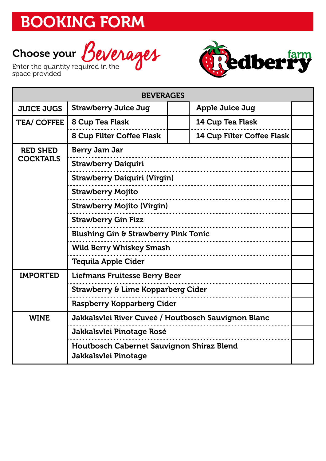





| <b>BEVERAGES</b>           |                                                                   |  |                                   |  |  |
|----------------------------|-------------------------------------------------------------------|--|-----------------------------------|--|--|
| <b>JUICE JUGS</b>          | <b>Strawberry Juice Jug</b>                                       |  | <b>Apple Juice Jug</b>            |  |  |
| <b>TEA/ COFFEE</b>         | 8 Cup Tea Flask                                                   |  | <b>14 Cup Tea Flask</b>           |  |  |
|                            | 8 Cup Filter Coffee Flask                                         |  | <b>14 Cup Filter Coffee Flask</b> |  |  |
| <b>RED SHED</b>            | <b>Berry Jam Jar</b>                                              |  |                                   |  |  |
| <b>COCKTAILS</b>           | <b>Strawberry Daiquiri</b>                                        |  |                                   |  |  |
|                            | <b>Strawberry Daiquiri (Virgin)</b>                               |  |                                   |  |  |
|                            | <b>Strawberry Mojito</b>                                          |  |                                   |  |  |
|                            | <b>Strawberry Mojito (Virgin)</b>                                 |  |                                   |  |  |
|                            | <b>Strawberry Gin Fizz</b>                                        |  |                                   |  |  |
|                            | <b>Blushing Gin &amp; Strawberry Pink Tonic</b>                   |  |                                   |  |  |
|                            | <b>Wild Berry Whiskey Smash</b>                                   |  |                                   |  |  |
| <b>Tequila Apple Cider</b> |                                                                   |  |                                   |  |  |
| <b>IMPORTED</b>            | <b>Liefmans Fruitesse Berry Beer</b>                              |  |                                   |  |  |
|                            | Strawberry & Lime Kopparberg Cider                                |  |                                   |  |  |
|                            | <b>Raspberry Kopparberg Cider</b>                                 |  |                                   |  |  |
| <b>WINE</b>                | Jakkalsvlei River Cuveé / Houtbosch Sauvignon Blanc               |  |                                   |  |  |
|                            | <b>Jakkalsvlei Pinotage Rosé</b>                                  |  |                                   |  |  |
|                            | Houtbosch Cabernet Sauvignon Shiraz Blend<br>Jakkalsvlei Pinotage |  |                                   |  |  |